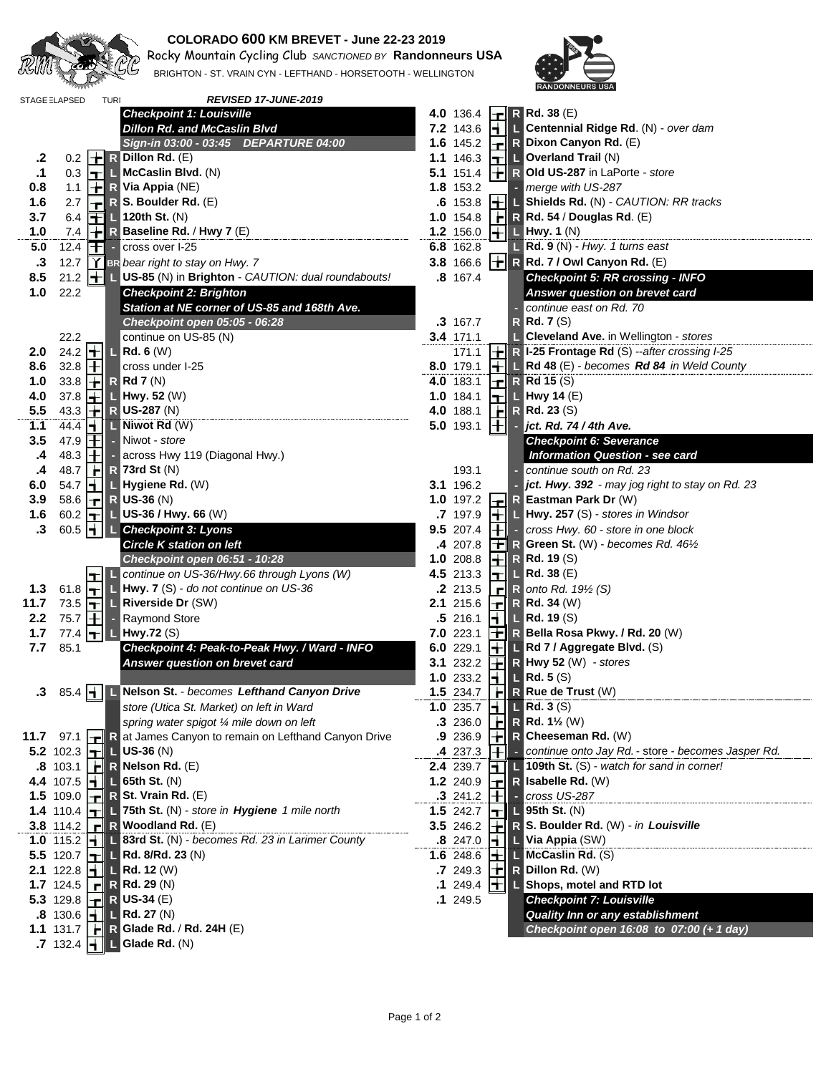

## **COLORADO 600 KM BREVET - June 22-23 2019**

**120 Rocky Mountain Cycling Club** SANCTIONED BY **Randonneurs USA** BRIGHTON - ST. VRAIN CYN - LEFTHAND - HORSETOOTH - WELLINGTON



|               | STAGE ELAPSED                  | <b>TURI</b>        | REVISED 17-JUNE-2019                                                      |                  |              |                                                                      |
|---------------|--------------------------------|--------------------|---------------------------------------------------------------------------|------------------|--------------|----------------------------------------------------------------------|
|               |                                |                    | <b>Checkpoint 1: Louisville</b>                                           | 4.0 136.4        | l-di         | <b>R</b> Rd. 38 (E)                                                  |
|               |                                |                    | <b>Dillon Rd. and McCaslin Blvd</b>                                       | 7.2 143.6        | HI           | L Centennial Ridge Rd. (N) - over dam                                |
|               |                                |                    | Sign-in 03:00 - 03:45 DEPARTURE 04:00                                     | 1.6 145.2        |              | R Dixon Canyon Rd. (E)                                               |
| .2            | 0.2                            |                    | $\left\  \boldsymbol{\cdot} \right\ $ R Dillon Rd. (E)                    | 1.1 146.3        |              | $\boxed{\mathbf{T}}$ Overland Trail (N)                              |
| $\cdot$ 1     | 0.3                            | l-rii              | $\blacksquare$ McCaslin Blvd. (N)                                         | 5.1 151.4        | ╟╈╡          | R Old US-287 in LaPorte - store                                      |
| 0.8           |                                |                    | 1.1 $\left  \frac{1}{\Gamma} \right $ R Via Appia (NE)                    | 1.8 153.2        |              | merge with US-287                                                    |
| 1.6           | 2.7                            | ᅱ                  | $R$ S. Boulder Rd. $(E)$                                                  | $.6$ 153.8       | $\mathsf{H}$ | L Shields Rd. (N) - CAUTION: RR tracks                               |
| 3.7           | 6.4                            |                    | $\boxed{\blacksquare}$ 120th St. (N)                                      | $1.0$ 154.8      |              | $\mathbf{F}$ R Rd. 54 / Douglas Rd. (E)                              |
| 1.0           | 7.4                            |                    | $\left\  \div \right\ $ <b>R</b> Baseline Rd. / Hwy 7 (E)                 | 1.2 156.0        |              | $\pm$ L Hwy. 1 (N)                                                   |
| 5.0           | 12.4                           |                    | $\mathbf{F}$ - cross over I-25                                            | 6.8 162.8        |              | $\Box$ Rd. 9 (N) - Hwy. 1 turns east                                 |
| $\cdot$ 3     |                                |                    | 12.7 $\mathbf{Y}$ BR bear right to stay on Hwy. 7                         | 3.8 166.6        |              | $\  \cdot \ $ R Rd. 7 / Owl Canyon Rd. (E)                           |
| 8.5           |                                |                    | 21.2 <b>+ US-85</b> (N) in Brighton - CAUTION: dual roundabouts!          | 8 167.4          |              | <b>Checkpoint 5: RR crossing - INFO</b>                              |
| 1.0           | 22.2                           |                    | <b>Checkpoint 2: Brighton</b>                                             |                  |              | Answer question on brevet card                                       |
|               |                                |                    | Station at NE corner of US-85 and 168th Ave.                              |                  |              | continue east on Rd. 70<br>$\sim$                                    |
|               |                                |                    | Checkpoint open 05:05 - 06:28                                             | .3 167.7         |              | $R$ Rd. 7 (S)                                                        |
|               | 22.2                           |                    | continue on US-85 (N)                                                     | 3.4 171.1        |              | <b>Cleveland Ave.</b> in Wellington - stores                         |
| 2.0           | 24.2 $\pm$                     |                    | $L$ Rd. 6 (W)                                                             | 171.1            |              | $\left\  \div \right\ $ R I-25 Frontage Rd (S) --after crossing I-25 |
| 8.6           | 32.8 $\Box$                    |                    | cross under I-25                                                          | 8.0 179.1        |              | $\frac{1}{\sqrt{1-\delta}}$ Rd 48 (E) - becomes Rd 84 in Weld County |
| 1.0           | 33.8                           | ᅱ                  | $R$ Rd 7 (N)                                                              | 4.0 183.1        |              | $\boxed{\mathbf{r}}$ R Rd 15 (S)                                     |
| 4.0           | 37.8                           | $\pm$ l            | $\blacksquare$ Hwy. 52 (W)                                                | $1.0$ 184.1      | ┡┱╢          | $\Box$ Hwy 14 (E)                                                    |
| 5.5           | 43.3                           | $\pm$              | <b>R</b> US-287 (N)                                                       | 4.0 188.1        |              | $\boxed{\leftarrow}$ R Rd. 23 (S)                                    |
| 1.1           | 44.4                           | ⊣∥                 | $\Box$ Niwot Rd $(W)$                                                     | 5.0 193.1        | $\mathbf{H}$ | $\blacksquare$ jct. Rd. 74 / 4th Ave.                                |
| 3.5           | 47.9 $\overline{+}$            |                    |                                                                           |                  |              | <b>Checkpoint 6: Severance</b>                                       |
| $\mathbf{.4}$ | 48.3                           | ╟╋╢                | - Niwot - <i>store</i><br>- across Hwy 119 (Diagonal Hwy.)                |                  |              | <b>Information Question - see card</b>                               |
| $\cdot$       | 48.7                           |                    | $\left\  \mathbb{R} \right\ $ R 73rd St (N)                               | 193.1            |              | - continue south on Rd. 23                                           |
| 6.0           |                                |                    | 54.7 <b>H</b> L Hygiene Rd. (W)                                           | 3.1 196.2        |              | jct. Hwy. 392 - may jog right to stay on Rd. 23                      |
| 3.9           | 58.6                           | $ \mathbf{\tau}\ $ | $R$ US-36 (N)                                                             | 1.0 197.2        | 비            | R Eastman Park Dr (W)                                                |
| 1.6           | 60.2 $\boxed{\top}$            |                    | <b>L</b> US-36 / Hwy. 66 (W)                                              | 7 197.9          |              | $\left  \frac{1}{1} \right $ L Hwy. 257 (S) - stores in Windsor      |
| $\cdot$ 3     |                                |                    | 60.5   L Checkpoint 3: Lyons                                              | 9.5 207.4        |              | $\left  + \right $ - cross Hwy. 60 - store in one block              |
|               |                                |                    | <b>Circle K station on left</b>                                           | 4 207.8          |              | <b>T</b> R Green St. (W) - becomes Rd. 46 <sup>1/2</sup>             |
|               |                                |                    | Checkpoint open 06:51 - 10:28                                             | 1.0 208.8        |              | $\pm \mathbb{R}$ R d. 19 (S)                                         |
|               |                                |                    | continue on US-36/Hwy.66 through Lyons (W)                                | 4.5 213.3        | ┝┯╢          | $\lfloor$ Rd. 38 (E)                                                 |
| 1.3           | 61.8                           |                    | Hwy. 7 (S) - do not continue on US-36                                     | .2 213.5         | ᆀ            | R onto Rd. $19\frac{1}{2}$ (S)                                       |
| 11.7          | 73.5 $\boxed{\mathbf{T}}$      |                    | <b>L</b> Riverside Dr (SW)                                                | 2.1 215.6        |              | $\left\Vert \mathbf{r}\right\Vert$ R Rd. 34 (W)                      |
| 2.2           | 75.7 $\boxed{+}$               | ÷.                 | Raymond Store                                                             | .5216.1          | $\mathbf{H}$ | $\blacksquare$ Rd. 19 (S)                                            |
| 1.7           |                                |                    | 77.4 $\mathbf{H}$ L Hwy.72 (S)                                            | 7.0223.1         |              | $\mathbf{F}$ R Bella Rosa Pkwy. / Rd. 20 (W)                         |
| 7.7           | 85.1                           |                    | Checkpoint 4: Peak-to-Peak Hwy. / Ward - INFO                             | 6.0 229.1        |              | $\left\  \boldsymbol{\cdot} \right\ $ L Rd 7 / Aggregate Blvd. (S)   |
|               |                                |                    | Answer question on brevet card                                            | 3.1 232.2        |              | $\left  \frac{1}{\sqrt{1 + x^2}} \right $ R Hwy 52 (W) - stores      |
|               |                                |                    |                                                                           | 1.0233.2         |              | $\left  \frac{1}{2} \right  \left  \frac{1}{2} \right $ Rd. 5 (S)    |
|               |                                |                    | .3 85.4   L Nelson St. - becomes Lefthand Canyon Drive                    | 1.5 234.7        |              | $H$ R Rue de Trust (W)                                               |
|               |                                |                    | store (Utica St. Market) on left in Ward                                  |                  |              | 1.0 235.7 $\parallel \parallel \parallel$ Rd. 3 (S)                  |
|               |                                |                    | spring water spigot 1/4 mile down on left                                 | .3236.0          | H            | <b>R</b> Rd. $1\frac{1}{2}$ (W)                                      |
|               | $11.7$ 97.1                    |                    | <b>T</b> R at James Canyon to remain on Lefthand Canyon Drive             | .9 236.9         |              | $\left\  \div \right\ $ R Cheeseman Rd. (W)                          |
|               |                                |                    | 5.2 102.3 $\left  \mathbf{H} \right $ US-36 (N)                           | 4 237.3          | ΙHΙ          | - continue onto Jay Rd. - store - becomes Jasper Rd.                 |
|               |                                |                    | .8 103.1   $\blacktriangleright$ R Nelson Rd. (E)                         | 2.4 239.7        |              | L 109th St. (S) - watch for sand in corner!                          |
|               |                                |                    | 4.4 107.5 $\frac{1}{2}$ <b>L</b> 65th St. (N)                             | 1.2 240.9        | $\mathsf{H}$ | R Isabelle Rd. (W)                                                   |
|               |                                |                    | 1.5 109.0 $\  \cdot \ $ R St. Vrain Rd. (E)                               | .3241.2          | l ti         | cross US-287                                                         |
|               |                                |                    | 1.4 110.4 $\left  \right $   75th St. (N) - store in Hygiene 1 mile north | 1.5 242.7        | ᆔ            | 95th St. (N)                                                         |
|               |                                |                    | 3.8 114.2 $\mathbf{r}$ R Woodland Rd. (E)                                 | <b>3.5</b> 246.2 |              | R S. Boulder Rd. (W) - in Louisville                                 |
|               | 1.0 115.2 $  $                 |                    | L 83rd St. (N) - becomes Rd. 23 in Larimer County                         | .8 247.0         |              | $\blacksquare$ Via Appia (SW)                                        |
|               |                                |                    | 5.5 120.7 $\left  \right  \left  \right $ Rd. 8/Rd. 23 (N)                | 1.6 248.6        |              | $\Box$ McCaslin Rd. (S)                                              |
|               |                                |                    | 2.1 122.8 $\frac{1}{2}$ L Rd. 12 (W)                                      | .7249.3          |              | $  \mathbf{r}  $ R Dillon Rd. (W)                                    |
|               |                                |                    | 1.7 124.5 $\  \cdot \ $ R Rd. 29 (N)                                      | .1249.4          | ┪┪║┖         | Shops, motel and RTD lot                                             |
|               |                                |                    | 5.3 129.8 $\  \cdot \ $ R US-34 (E)                                       | .1 249.5         |              | <b>Checkpoint 7: Louisville</b>                                      |
|               | $.8$ 130.6 $\vert \cdot \vert$ |                    | $\Box$ Rd. 27 (N)                                                         |                  |              | <b>Quality Inn or any establishment</b>                              |
|               |                                |                    | 1.1 131.7 $  \cdot  $ R Glade Rd. / Rd. 24H (E)                           |                  |              | Checkpoint open 16:08 to 07:00 (+ 1 day)                             |
|               | $.7132.4$ $\rightarrow$        |                    | L Glade Rd. (N)                                                           |                  |              |                                                                      |